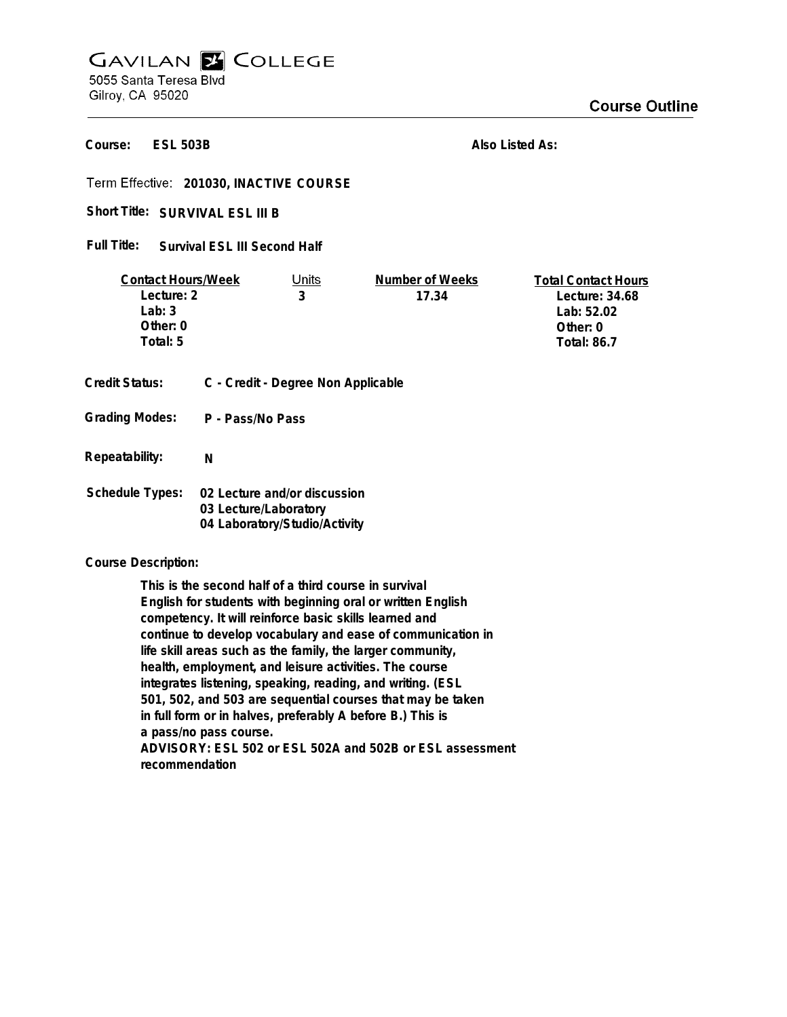## **GAVILAN E COLLEGE** 5055 Santa Teresa Blvd Gilroy, CA 95020

**ESL 503B Course:**

**Also Listed As:**

**201030, INACTIVE COURSE**

Short Title: SURVIVAL ESL III B

**Survival ESL III Second Half Full Title:**

| <b>Contact Hours/Week</b> |                  | Units                                                 | Number of Weeks | <b>Total Contact Hours</b> |
|---------------------------|------------------|-------------------------------------------------------|-----------------|----------------------------|
| Lecture: 2                |                  | 3                                                     | 17.34           | Lecture: $34.68$           |
| Lab: $3$                  |                  |                                                       |                 | Lab: 52.02                 |
| Other: $0$                |                  |                                                       |                 | Other: 0                   |
| Total: 5                  |                  |                                                       |                 | <b>Total: 86.7</b>         |
|                           |                  |                                                       |                 |                            |
| Credit Status:            |                  | C - Credit - Degree Non Applicable                    |                 |                            |
| <b>Grading Modes:</b>     | P - Pass/No Pass |                                                       |                 |                            |
| Repeatability:            | N                |                                                       |                 |                            |
| Schedule Types:           |                  | 02 Lecture and/or discussion<br>03 Lecture/Laboratory |                 |                            |

**Course Description:**

**This is the second half of a third course in survival English for students with beginning oral or written English competency. It will reinforce basic skills learned and continue to develop vocabulary and ease of communication in life skill areas such as the family, the larger community, health, employment, and leisure activities. The course integrates listening, speaking, reading, and writing. (ESL 501, 502, and 503 are sequential courses that may be taken in full form or in halves, preferably A before B.) This is a pass/no pass course. ADVISORY: ESL 502 or ESL 502A and 502B or ESL assessment recommendation**

**04 Laboratory/Studio/Activity**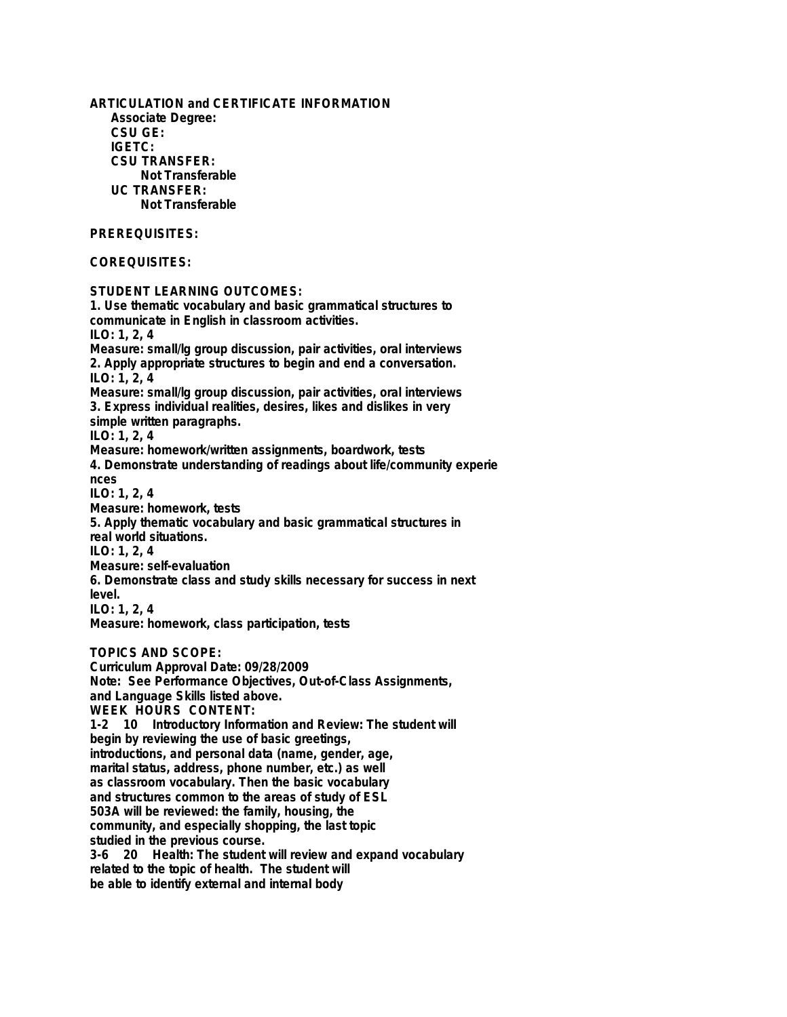**ARTICULATION and CERTIFICATE INFORMATION Associate Degree: CSU GE: IGETC: CSU TRANSFER: Not Transferable UC TRANSFER: Not Transferable PREREQUISITES: COREQUISITES: STUDENT LEARNING OUTCOMES: 1. Use thematic vocabulary and basic grammatical structures to communicate in English in classroom activities. ILO: 1, 2, 4 Measure: small/lg group discussion, pair activities, oral interviews 2. Apply appropriate structures to begin and end a conversation. ILO: 1, 2, 4 Measure: small/lg group discussion, pair activities, oral interviews 3. Express individual realities, desires, likes and dislikes in very simple written paragraphs. ILO: 1, 2, 4 Measure: homework/written assignments, boardwork, tests 4. Demonstrate understanding of readings about life/community experie nces ILO: 1, 2, 4 Measure: homework, tests 5. Apply thematic vocabulary and basic grammatical structures in real world situations. ILO: 1, 2, 4 Measure: self-evaluation 6. Demonstrate class and study skills necessary for success in next level. ILO: 1, 2, 4 Measure: homework, class participation, tests TOPICS AND SCOPE: Curriculum Approval Date: 09/28/2009 Note: See Performance Objectives, Out-of-Class Assignments, and Language Skills listed above. WEEK HOURS CONTENT: 1-2 10 Introductory Information and Review: The student will begin by reviewing the use of basic greetings, introductions, and personal data (name, gender, age, marital status, address, phone number, etc.) as well as classroom vocabulary. Then the basic vocabulary and structures common to the areas of study of ESL 503A will be reviewed: the family, housing, the community, and especially shopping, the last topic studied in the previous course. 3-6 20 Health: The student will review and expand vocabulary related to the topic of health. The student will be able to identify external and internal body**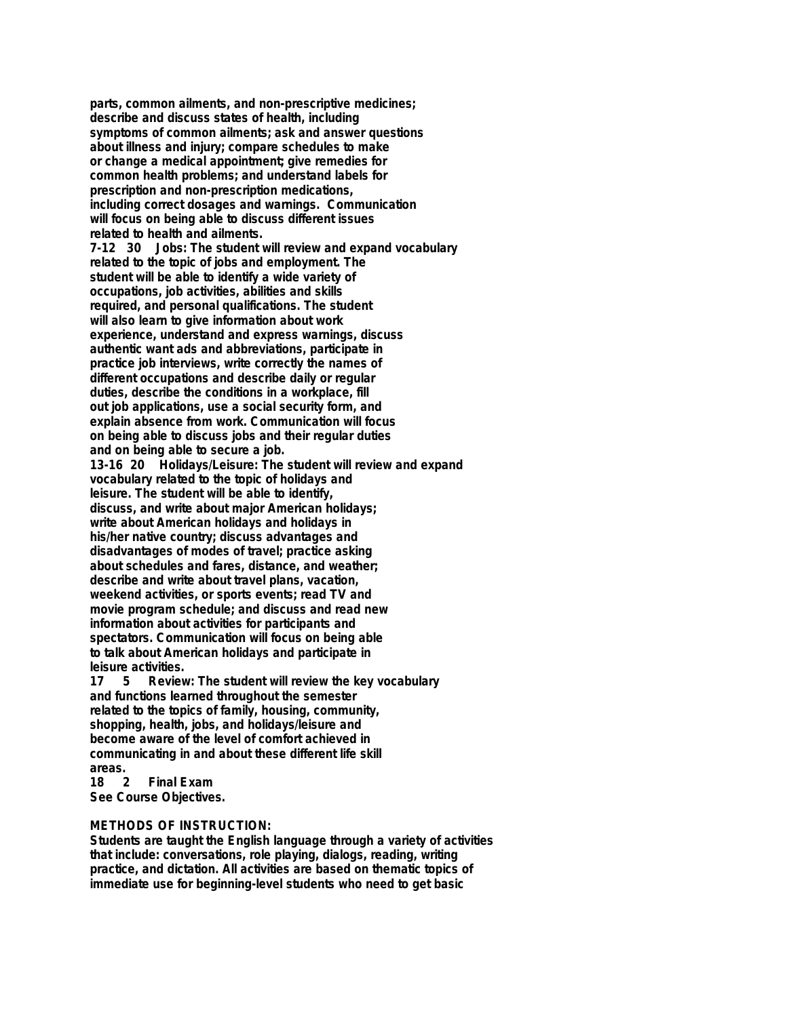**parts, common ailments, and non-prescriptive medicines; describe and discuss states of health, including symptoms of common ailments; ask and answer questions about illness and injury; compare schedules to make or change a medical appointment; give remedies for common health problems; and understand labels for prescription and non-prescription medications, including correct dosages and warnings. Communication will focus on being able to discuss different issues related to health and ailments. 7-12 30 Jobs: The student will review and expand vocabulary related to the topic of jobs and employment. The student will be able to identify a wide variety of occupations, job activities, abilities and skills required, and personal qualifications. The student will also learn to give information about work experience, understand and express warnings, discuss authentic want ads and abbreviations, participate in practice job interviews, write correctly the names of different occupations and describe daily or regular duties, describe the conditions in a workplace, fill out job applications, use a social security form, and explain absence from work. Communication will focus on being able to discuss jobs and their regular duties and on being able to secure a job. 13-16 20 Holidays/Leisure: The student will review and expand vocabulary related to the topic of holidays and leisure. The student will be able to identify, discuss, and write about major American holidays; write about American holidays and holidays in his/her native country; discuss advantages and disadvantages of modes of travel; practice asking about schedules and fares, distance, and weather; describe and write about travel plans, vacation, weekend activities, or sports events; read TV and movie program schedule; and discuss and read new information about activities for participants and spectators. Communication will focus on being able to talk about American holidays and participate in leisure activities. 17 5 Review: The student will review the key vocabulary**

**and functions learned throughout the semester related to the topics of family, housing, community, shopping, health, jobs, and holidays/leisure and become aware of the level of comfort achieved in communicating in and about these different life skill** areas.<br>18

**18 2 Final Exam See Course Objectives.**

## **METHODS OF INSTRUCTION:**

**Students are taught the English language through a variety of activities that include: conversations, role playing, dialogs, reading, writing practice, and dictation. All activities are based on thematic topics of immediate use for beginning-level students who need to get basic**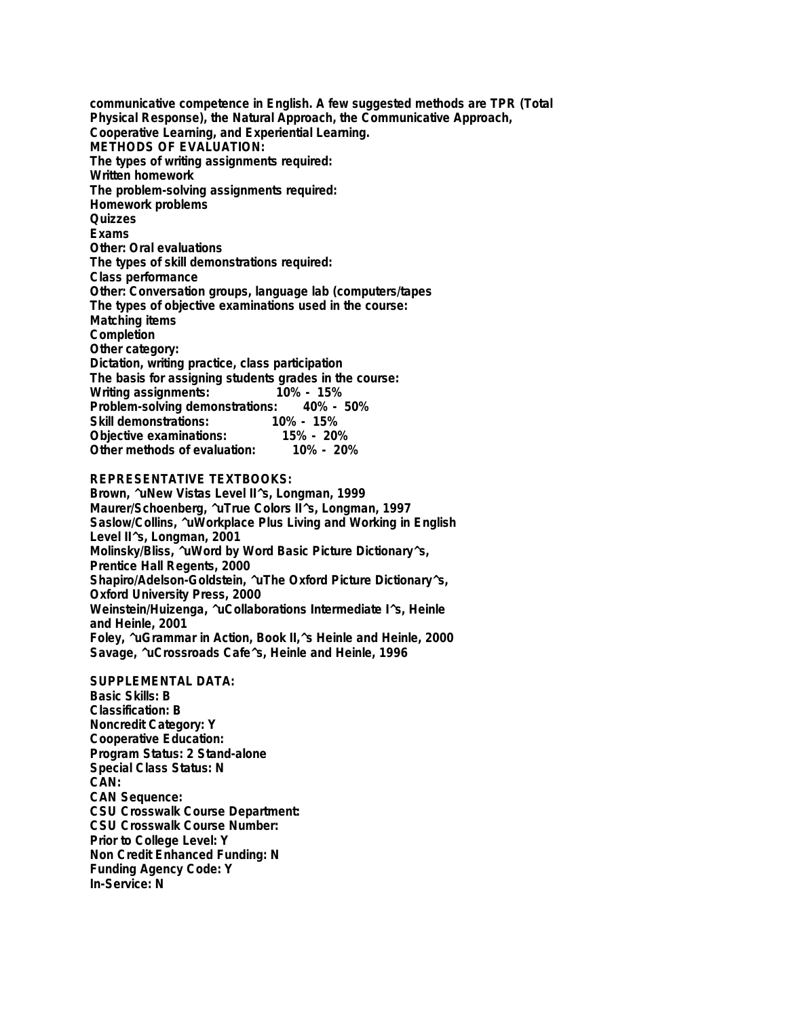**communicative competence in English. A few suggested methods are TPR (Total Physical Response), the Natural Approach, the Communicative Approach, Cooperative Learning, and Experiential Learning. METHODS OF EVALUATION: The types of writing assignments required: Written homework The problem-solving assignments required: Homework problems Quizzes Exams Other: Oral evaluations The types of skill demonstrations required: Class performance Other: Conversation groups, language lab (computers/tapes The types of objective examinations used in the course: Matching items Completion Other category: Dictation, writing practice, class participation The basis for assigning students grades in the course: Writing assignments: 10% - 15% Problem-solving demonstrations: 40% - 50% Skill demonstrations: 10% - 15% Objective examinations: 15% - 20% Other methods of evaluation: 10% - 20%**

## **REPRESENTATIVE TEXTBOOKS:**

**Brown, ^uNew Vistas Level II^s, Longman, 1999 Maurer/Schoenberg, ^uTrue Colors II^s, Longman, 1997 Saslow/Collins, ^uWorkplace Plus Living and Working in English Level II^s, Longman, 2001 Molinsky/Bliss, ^uWord by Word Basic Picture Dictionary^s, Prentice Hall Regents, 2000 Shapiro/Adelson-Goldstein, ^uThe Oxford Picture Dictionary^s, Oxford University Press, 2000 Weinstein/Huizenga, ^uCollaborations Intermediate I^s, Heinle and Heinle, 2001 Foley, ^uGrammar in Action, Book II,^s Heinle and Heinle, 2000 Savage, ^uCrossroads Cafe^s, Heinle and Heinle, 1996**

**SUPPLEMENTAL DATA: Basic Skills: B Classification: B Noncredit Category: Y Cooperative Education: Program Status: 2 Stand-alone Special Class Status: N CAN: CAN Sequence: CSU Crosswalk Course Department: CSU Crosswalk Course Number: Prior to College Level: Y Non Credit Enhanced Funding: N Funding Agency Code: Y In-Service: N**